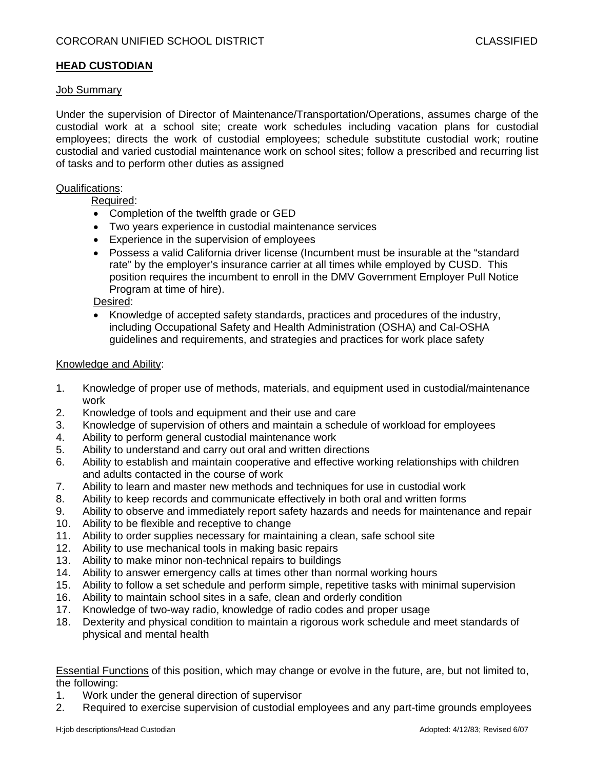### **HEAD CUSTODIAN**

## Job Summary

Under the supervision of Director of Maintenance/Transportation/Operations, assumes charge of the custodial work at a school site; create work schedules including vacation plans for custodial employees; directs the work of custodial employees; schedule substitute custodial work; routine custodial and varied custodial maintenance work on school sites; follow a prescribed and recurring list of tasks and to perform other duties as assigned

#### Qualifications:

Required:

- Completion of the twelfth grade or GED
- Two years experience in custodial maintenance services
- Experience in the supervision of employees
- Possess a valid California driver license (Incumbent must be insurable at the "standard rate" by the employer's insurance carrier at all times while employed by CUSD. This position requires the incumbent to enroll in the DMV Government Employer Pull Notice Program at time of hire).

Desired:

 Knowledge of accepted safety standards, practices and procedures of the industry, including Occupational Safety and Health Administration (OSHA) and Cal-OSHA guidelines and requirements, and strategies and practices for work place safety

#### Knowledge and Ability:

- 1. Knowledge of proper use of methods, materials, and equipment used in custodial/maintenance work
- 2. Knowledge of tools and equipment and their use and care
- 3. Knowledge of supervision of others and maintain a schedule of workload for employees
- 4. Ability to perform general custodial maintenance work
- 5. Ability to understand and carry out oral and written directions
- 6. Ability to establish and maintain cooperative and effective working relationships with children and adults contacted in the course of work
- 7. Ability to learn and master new methods and techniques for use in custodial work
- 8. Ability to keep records and communicate effectively in both oral and written forms
- 9. Ability to observe and immediately report safety hazards and needs for maintenance and repair
- 10. Ability to be flexible and receptive to change
- 11. Ability to order supplies necessary for maintaining a clean, safe school site
- 12. Ability to use mechanical tools in making basic repairs
- 13. Ability to make minor non-technical repairs to buildings
- 14. Ability to answer emergency calls at times other than normal working hours
- 15. Ability to follow a set schedule and perform simple, repetitive tasks with minimal supervision
- 16. Ability to maintain school sites in a safe, clean and orderly condition
- 17. Knowledge of two-way radio, knowledge of radio codes and proper usage
- 18. Dexterity and physical condition to maintain a rigorous work schedule and meet standards of physical and mental health

Essential Functions of this position, which may change or evolve in the future, are, but not limited to, the following:

- 1. Work under the general direction of supervisor
- 2. Required to exercise supervision of custodial employees and any part-time grounds employees